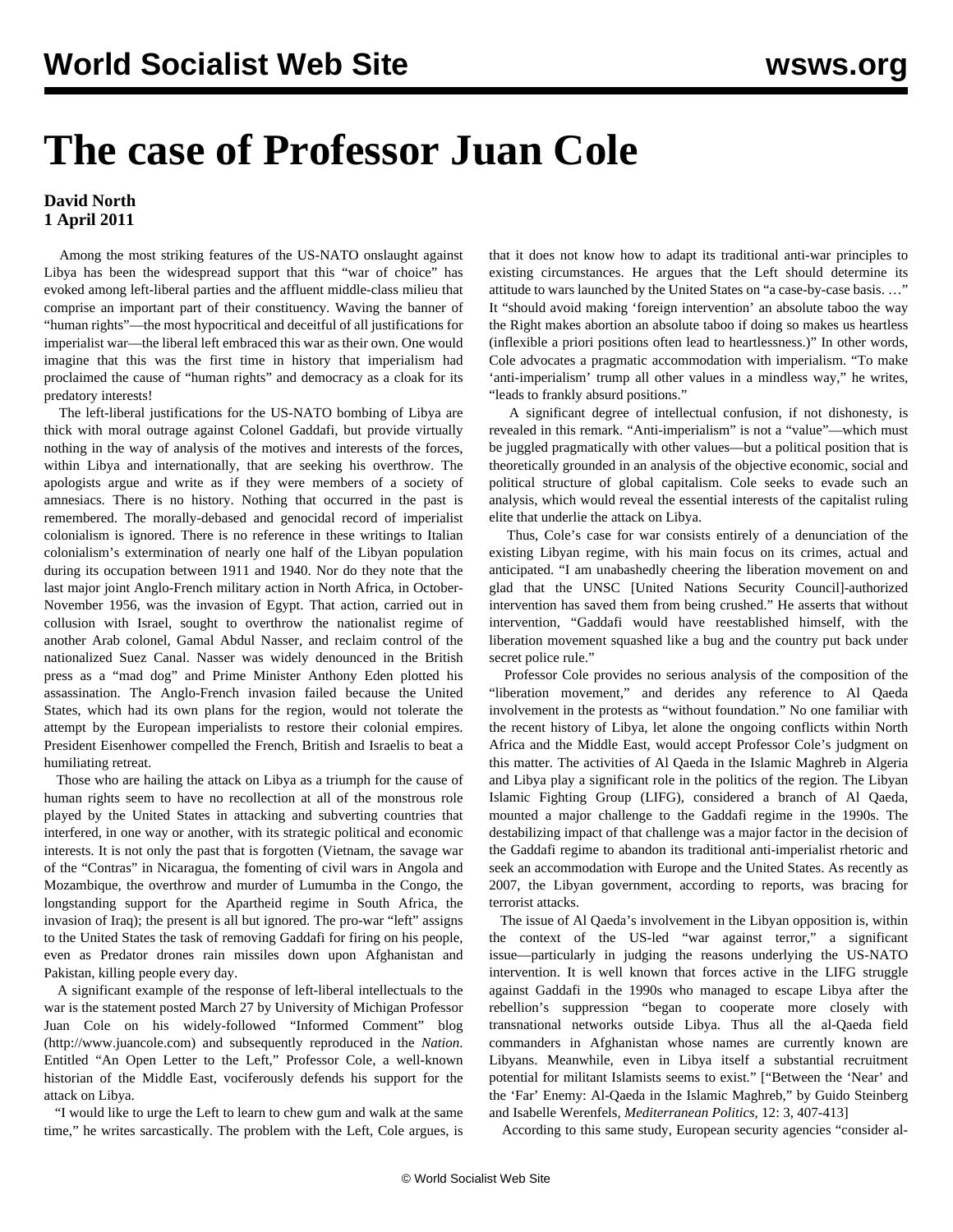## **The case of Professor Juan Cole**

## **David North 1 April 2011**

 Among the most striking features of the US-NATO onslaught against Libya has been the widespread support that this "war of choice" has evoked among left-liberal parties and the affluent middle-class milieu that comprise an important part of their constituency. Waving the banner of "human rights"—the most hypocritical and deceitful of all justifications for imperialist war—the liberal left embraced this war as their own. One would imagine that this was the first time in history that imperialism had proclaimed the cause of "human rights" and democracy as a cloak for its predatory interests!

 The left-liberal justifications for the US-NATO bombing of Libya are thick with moral outrage against Colonel Gaddafi, but provide virtually nothing in the way of analysis of the motives and interests of the forces, within Libya and internationally, that are seeking his overthrow. The apologists argue and write as if they were members of a society of amnesiacs. There is no history. Nothing that occurred in the past is remembered. The morally-debased and genocidal record of imperialist colonialism is ignored. There is no reference in these writings to Italian colonialism's extermination of nearly one half of the Libyan population during its occupation between 1911 and 1940. Nor do they note that the last major joint Anglo-French military action in North Africa, in October-November 1956, was the invasion of Egypt. That action, carried out in collusion with Israel, sought to overthrow the nationalist regime of another Arab colonel, Gamal Abdul Nasser, and reclaim control of the nationalized Suez Canal. Nasser was widely denounced in the British press as a "mad dog" and Prime Minister Anthony Eden plotted his assassination. The Anglo-French invasion failed because the United States, which had its own plans for the region, would not tolerate the attempt by the European imperialists to restore their colonial empires. President Eisenhower compelled the French, British and Israelis to beat a humiliating retreat.

 Those who are hailing the attack on Libya as a triumph for the cause of human rights seem to have no recollection at all of the monstrous role played by the United States in attacking and subverting countries that interfered, in one way or another, with its strategic political and economic interests. It is not only the past that is forgotten (Vietnam, the savage war of the "Contras" in Nicaragua, the fomenting of civil wars in Angola and Mozambique, the overthrow and murder of Lumumba in the Congo, the longstanding support for the Apartheid regime in South Africa, the invasion of Iraq); the present is all but ignored. The pro-war "left" assigns to the United States the task of removing Gaddafi for firing on his people, even as Predator drones rain missiles down upon Afghanistan and Pakistan, killing people every day.

 A significant example of the response of left-liberal intellectuals to the war is the statement posted March 27 by University of Michigan Professor Juan Cole on his widely-followed "Informed Comment" blog (http://www.juancole.com) and subsequently reproduced in the *Nation*. Entitled "An Open Letter to the Left," Professor Cole, a well-known historian of the Middle East, vociferously defends his support for the attack on Libya.

 "I would like to urge the Left to learn to chew gum and walk at the same time," he writes sarcastically. The problem with the Left, Cole argues, is

that it does not know how to adapt its traditional anti-war principles to existing circumstances. He argues that the Left should determine its attitude to wars launched by the United States on "a case-by-case basis. …" It "should avoid making 'foreign intervention' an absolute taboo the way the Right makes abortion an absolute taboo if doing so makes us heartless (inflexible a priori positions often lead to heartlessness.)" In other words, Cole advocates a pragmatic accommodation with imperialism. "To make 'anti-imperialism' trump all other values in a mindless way," he writes, "leads to frankly absurd positions."

 A significant degree of intellectual confusion, if not dishonesty, is revealed in this remark. "Anti-imperialism" is not a "value"—which must be juggled pragmatically with other values—but a political position that is theoretically grounded in an analysis of the objective economic, social and political structure of global capitalism. Cole seeks to evade such an analysis, which would reveal the essential interests of the capitalist ruling elite that underlie the attack on Libya.

 Thus, Cole's case for war consists entirely of a denunciation of the existing Libyan regime, with his main focus on its crimes, actual and anticipated. "I am unabashedly cheering the liberation movement on and glad that the UNSC [United Nations Security Council]-authorized intervention has saved them from being crushed." He asserts that without intervention, "Gaddafi would have reestablished himself, with the liberation movement squashed like a bug and the country put back under secret police rule."

 Professor Cole provides no serious analysis of the composition of the "liberation movement," and derides any reference to Al Qaeda involvement in the protests as "without foundation." No one familiar with the recent history of Libya, let alone the ongoing conflicts within North Africa and the Middle East, would accept Professor Cole's judgment on this matter. The activities of Al Qaeda in the Islamic Maghreb in Algeria and Libya play a significant role in the politics of the region. The Libyan Islamic Fighting Group (LIFG), considered a branch of Al Qaeda, mounted a major challenge to the Gaddafi regime in the 1990s. The destabilizing impact of that challenge was a major factor in the decision of the Gaddafi regime to abandon its traditional anti-imperialist rhetoric and seek an accommodation with Europe and the United States. As recently as 2007, the Libyan government, according to reports, was bracing for terrorist attacks.

 The issue of Al Qaeda's involvement in the Libyan opposition is, within the context of the US-led "war against terror," a significant issue—particularly in judging the reasons underlying the US-NATO intervention. It is well known that forces active in the LIFG struggle against Gaddafi in the 1990s who managed to escape Libya after the rebellion's suppression "began to cooperate more closely with transnational networks outside Libya. Thus all the al-Qaeda field commanders in Afghanistan whose names are currently known are Libyans. Meanwhile, even in Libya itself a substantial recruitment potential for militant Islamists seems to exist." ["Between the 'Near' and the 'Far' Enemy: Al-Qaeda in the Islamic Maghreb," by Guido Steinberg and Isabelle Werenfels, *Mediterranean Politics,* 12: 3, 407-413]

According to this same study, European security agencies "consider al-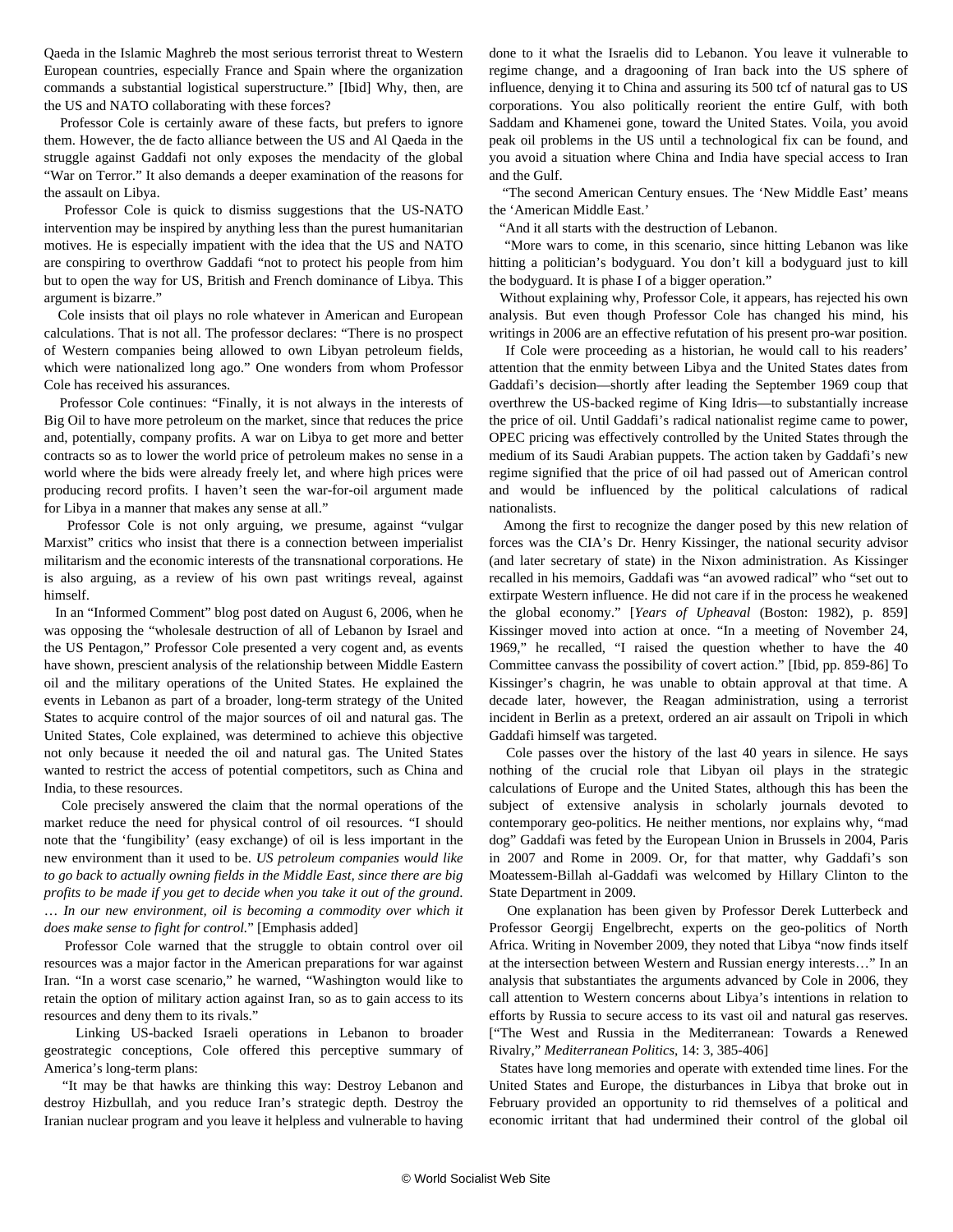Qaeda in the Islamic Maghreb the most serious terrorist threat to Western European countries, especially France and Spain where the organization commands a substantial logistical superstructure." [Ibid] Why, then, are the US and NATO collaborating with these forces?

 Professor Cole is certainly aware of these facts, but prefers to ignore them. However, the de facto alliance between the US and Al Qaeda in the struggle against Gaddafi not only exposes the mendacity of the global "War on Terror." It also demands a deeper examination of the reasons for the assault on Libya.

 Professor Cole is quick to dismiss suggestions that the US-NATO intervention may be inspired by anything less than the purest humanitarian motives. He is especially impatient with the idea that the US and NATO are conspiring to overthrow Gaddafi "not to protect his people from him but to open the way for US, British and French dominance of Libya. This argument is bizarre."

 Cole insists that oil plays no role whatever in American and European calculations. That is not all. The professor declares: "There is no prospect of Western companies being allowed to own Libyan petroleum fields, which were nationalized long ago." One wonders from whom Professor Cole has received his assurances.

 Professor Cole continues: "Finally, it is not always in the interests of Big Oil to have more petroleum on the market, since that reduces the price and, potentially, company profits. A war on Libya to get more and better contracts so as to lower the world price of petroleum makes no sense in a world where the bids were already freely let, and where high prices were producing record profits. I haven't seen the war-for-oil argument made for Libya in a manner that makes any sense at all."

 Professor Cole is not only arguing, we presume, against "vulgar Marxist" critics who insist that there is a connection between imperialist militarism and the economic interests of the transnational corporations. He is also arguing, as a review of his own past writings reveal, against himself.

 In an "Informed Comment" blog post dated on August 6, 2006, when he was opposing the "wholesale destruction of all of Lebanon by Israel and the US Pentagon," Professor Cole presented a very cogent and, as events have shown, prescient analysis of the relationship between Middle Eastern oil and the military operations of the United States. He explained the events in Lebanon as part of a broader, long-term strategy of the United States to acquire control of the major sources of oil and natural gas. The United States, Cole explained, was determined to achieve this objective not only because it needed the oil and natural gas. The United States wanted to restrict the access of potential competitors, such as China and India, to these resources.

 Cole precisely answered the claim that the normal operations of the market reduce the need for physical control of oil resources. "I should note that the 'fungibility' (easy exchange) of oil is less important in the new environment than it used to be. *US petroleum companies would like to go back to actually owning fields in the Middle East, since there are big profits to be made if you get to decide when you take it out of the ground*. … *In our new environment, oil is becoming a commodity over which it does make sense to fight for control.*" [Emphasis added]

 Professor Cole warned that the struggle to obtain control over oil resources was a major factor in the American preparations for war against Iran. "In a worst case scenario," he warned, "Washington would like to retain the option of military action against Iran, so as to gain access to its resources and deny them to its rivals."

 Linking US-backed Israeli operations in Lebanon to broader geostrategic conceptions, Cole offered this perceptive summary of America's long-term plans:

 "It may be that hawks are thinking this way: Destroy Lebanon and destroy Hizbullah, and you reduce Iran's strategic depth. Destroy the Iranian nuclear program and you leave it helpless and vulnerable to having done to it what the Israelis did to Lebanon. You leave it vulnerable to regime change, and a dragooning of Iran back into the US sphere of influence, denying it to China and assuring its 500 tcf of natural gas to US corporations. You also politically reorient the entire Gulf, with both Saddam and Khamenei gone, toward the United States. Voila, you avoid peak oil problems in the US until a technological fix can be found, and you avoid a situation where China and India have special access to Iran and the Gulf.

 "The second American Century ensues. The 'New Middle East' means the 'American Middle East.'

"And it all starts with the destruction of Lebanon.

 "More wars to come, in this scenario, since hitting Lebanon was like hitting a politician's bodyguard. You don't kill a bodyguard just to kill the bodyguard. It is phase I of a bigger operation."

 Without explaining why, Professor Cole, it appears, has rejected his own analysis. But even though Professor Cole has changed his mind, his writings in 2006 are an effective refutation of his present pro-war position.

 If Cole were proceeding as a historian, he would call to his readers' attention that the enmity between Libya and the United States dates from Gaddafi's decision—shortly after leading the September 1969 coup that overthrew the US-backed regime of King Idris—to substantially increase the price of oil. Until Gaddafi's radical nationalist regime came to power, OPEC pricing was effectively controlled by the United States through the medium of its Saudi Arabian puppets. The action taken by Gaddafi's new regime signified that the price of oil had passed out of American control and would be influenced by the political calculations of radical nationalists.

 Among the first to recognize the danger posed by this new relation of forces was the CIA's Dr. Henry Kissinger, the national security advisor (and later secretary of state) in the Nixon administration. As Kissinger recalled in his memoirs, Gaddafi was "an avowed radical" who "set out to extirpate Western influence. He did not care if in the process he weakened the global economy." [*Years of Upheaval* (Boston: 1982), p. 859] Kissinger moved into action at once. "In a meeting of November 24, 1969," he recalled, "I raised the question whether to have the 40 Committee canvass the possibility of covert action." [Ibid, pp. 859-86] To Kissinger's chagrin, he was unable to obtain approval at that time. A decade later, however, the Reagan administration, using a terrorist incident in Berlin as a pretext, ordered an air assault on Tripoli in which Gaddafi himself was targeted.

 Cole passes over the history of the last 40 years in silence. He says nothing of the crucial role that Libyan oil plays in the strategic calculations of Europe and the United States, although this has been the subject of extensive analysis in scholarly journals devoted to contemporary geo-politics. He neither mentions, nor explains why, "mad dog" Gaddafi was feted by the European Union in Brussels in 2004, Paris in 2007 and Rome in 2009. Or, for that matter, why Gaddafi's son Moatessem-Billah al-Gaddafi was welcomed by Hillary Clinton to the State Department in 2009.

 One explanation has been given by Professor Derek Lutterbeck and Professor Georgij Engelbrecht, experts on the geo-politics of North Africa. Writing in November 2009, they noted that Libya "now finds itself at the intersection between Western and Russian energy interests…" In an analysis that substantiates the arguments advanced by Cole in 2006, they call attention to Western concerns about Libya's intentions in relation to efforts by Russia to secure access to its vast oil and natural gas reserves. ["The West and Russia in the Mediterranean: Towards a Renewed Rivalry," *Mediterranean Politics*, 14: 3, 385-406]

 States have long memories and operate with extended time lines. For the United States and Europe, the disturbances in Libya that broke out in February provided an opportunity to rid themselves of a political and economic irritant that had undermined their control of the global oil